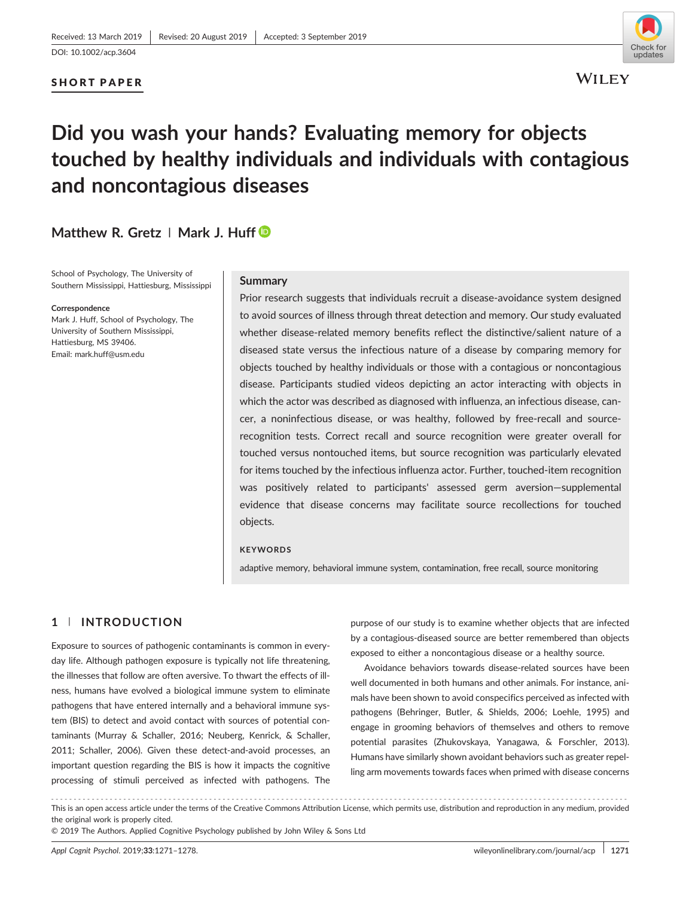## SHORT PAPER



# **Did you wash your hands? Evaluating memory for objects touched by healthy individuals and individuals with contagious and noncontagious diseases**

## **Matthew R. Gretz | Mark J. Huff**

School of Psychology, The University of Southern Mississippi, Hattiesburg, Mississippi

#### **Correspondence**

Mark J. Huff, School of Psychology, The University of Southern Mississippi, Hattiesburg, MS 39406. Email: mark.huff@usm.edu

## **Summary**

Prior research suggests that individuals recruit a disease‐avoidance system designed to avoid sources of illness through threat detection and memory. Our study evaluated whether disease-related memory benefits reflect the distinctive/salient nature of a diseased state versus the infectious nature of a disease by comparing memory for objects touched by healthy individuals or those with a contagious or noncontagious disease. Participants studied videos depicting an actor interacting with objects in which the actor was described as diagnosed with influenza, an infectious disease, cancer, a noninfectious disease, or was healthy, followed by free-recall and sourcerecognition tests. Correct recall and source recognition were greater overall for touched versus nontouched items, but source recognition was particularly elevated for items touched by the infectious influenza actor. Further, touched‐item recognition was positively related to participants' assessed germ aversion—supplemental evidence that disease concerns may facilitate source recollections for touched objects.

#### **KEYWORDS**

adaptive memory, behavioral immune system, contamination, free recall, source monitoring

## **1** | **INTRODUCTION**

Exposure to sources of pathogenic contaminants is common in everyday life. Although pathogen exposure is typically not life threatening, the illnesses that follow are often aversive. To thwart the effects of illness, humans have evolved a biological immune system to eliminate pathogens that have entered internally and a behavioral immune system (BIS) to detect and avoid contact with sources of potential contaminants (Murray & Schaller, 2016; Neuberg, Kenrick, & Schaller, 2011; Schaller, 2006). Given these detect-and-avoid processes, an important question regarding the BIS is how it impacts the cognitive processing of stimuli perceived as infected with pathogens. The

purpose of our study is to examine whether objects that are infected by a contagious‐diseased source are better remembered than objects exposed to either a noncontagious disease or a healthy source.

Avoidance behaviors towards disease‐related sources have been well documented in both humans and other animals. For instance, animals have been shown to avoid conspecifics perceived as infected with pathogens (Behringer, Butler, & Shields, 2006; Loehle, 1995) and engage in grooming behaviors of themselves and others to remove potential parasites (Zhukovskaya, Yanagawa, & Forschler, 2013). Humans have similarly shown avoidant behaviors such as greater repelling arm movements towards faces when primed with disease concerns

<sup>-------------------------------------------------------------------------------------------------------------------------------</sup> - This is an open access article under the terms of the [Creative Commons Attribution](http://creativecommons.org/licenses/by/4.0/) License, which permits use, distribution and reproduction in any medium, provided the original work is properly cited.

<sup>© 2019</sup> The Authors. Applied Cognitive Psychology published by John Wiley & Sons Ltd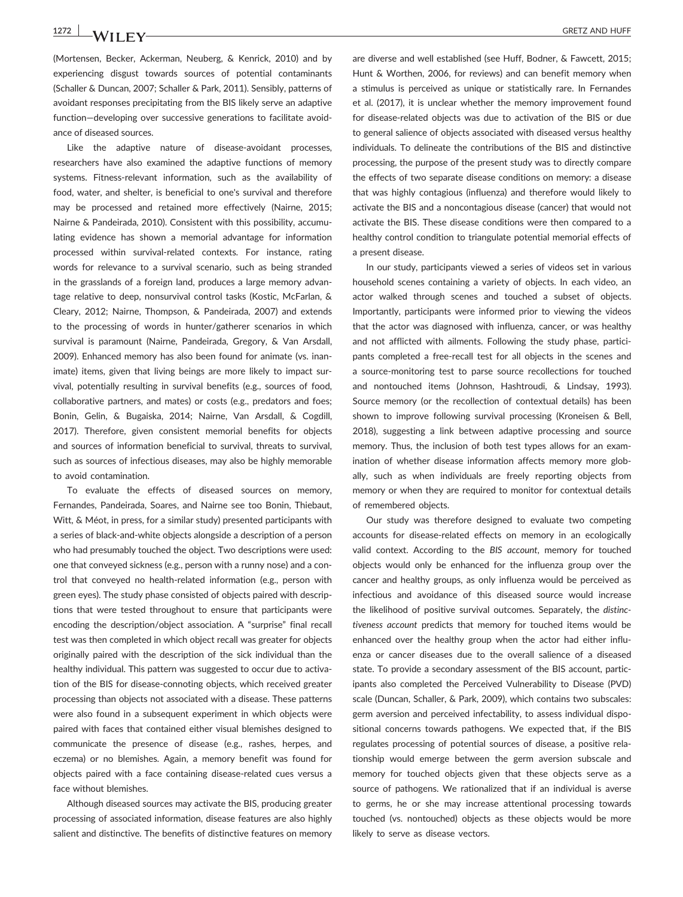(Mortensen, Becker, Ackerman, Neuberg, & Kenrick, 2010) and by experiencing disgust towards sources of potential contaminants (Schaller & Duncan, 2007; Schaller & Park, 2011). Sensibly, patterns of avoidant responses precipitating from the BIS likely serve an adaptive function—developing over successive generations to facilitate avoidance of diseased sources.

Like the adaptive nature of disease‐avoidant processes, researchers have also examined the adaptive functions of memory systems. Fitness-relevant information, such as the availability of food, water, and shelter, is beneficial to one's survival and therefore may be processed and retained more effectively (Nairne, 2015; Nairne & Pandeirada, 2010). Consistent with this possibility, accumulating evidence has shown a memorial advantage for information processed within survival-related contexts. For instance, rating words for relevance to a survival scenario, such as being stranded in the grasslands of a foreign land, produces a large memory advantage relative to deep, nonsurvival control tasks (Kostic, McFarlan, & Cleary, 2012; Nairne, Thompson, & Pandeirada, 2007) and extends to the processing of words in hunter/gatherer scenarios in which survival is paramount (Nairne, Pandeirada, Gregory, & Van Arsdall, 2009). Enhanced memory has also been found for animate (vs. inanimate) items, given that living beings are more likely to impact survival, potentially resulting in survival benefits (e.g., sources of food, collaborative partners, and mates) or costs (e.g., predators and foes; Bonin, Gelin, & Bugaiska, 2014; Nairne, Van Arsdall, & Cogdill, 2017). Therefore, given consistent memorial benefits for objects and sources of information beneficial to survival, threats to survival, such as sources of infectious diseases, may also be highly memorable to avoid contamination.

To evaluate the effects of diseased sources on memory, Fernandes, Pandeirada, Soares, and Nairne see too Bonin, Thiebaut, Witt, & Méot, in press, for a similar study) presented participants with a series of black‐and‐white objects alongside a description of a person who had presumably touched the object. Two descriptions were used: one that conveyed sickness (e.g., person with a runny nose) and a control that conveyed no health‐related information (e.g., person with green eyes). The study phase consisted of objects paired with descriptions that were tested throughout to ensure that participants were encoding the description/object association. A "surprise" final recall test was then completed in which object recall was greater for objects originally paired with the description of the sick individual than the healthy individual. This pattern was suggested to occur due to activation of the BIS for disease‐connoting objects, which received greater processing than objects not associated with a disease. These patterns were also found in a subsequent experiment in which objects were paired with faces that contained either visual blemishes designed to communicate the presence of disease (e.g., rashes, herpes, and eczema) or no blemishes. Again, a memory benefit was found for objects paired with a face containing disease‐related cues versus a face without blemishes.

Although diseased sources may activate the BIS, producing greater processing of associated information, disease features are also highly salient and distinctive. The benefits of distinctive features on memory

are diverse and well established (see Huff, Bodner, & Fawcett, 2015; Hunt & Worthen, 2006, for reviews) and can benefit memory when a stimulus is perceived as unique or statistically rare. In Fernandes et al. (2017), it is unclear whether the memory improvement found for disease‐related objects was due to activation of the BIS or due to general salience of objects associated with diseased versus healthy individuals. To delineate the contributions of the BIS and distinctive processing, the purpose of the present study was to directly compare the effects of two separate disease conditions on memory: a disease that was highly contagious (influenza) and therefore would likely to activate the BIS and a noncontagious disease (cancer) that would not activate the BIS. These disease conditions were then compared to a healthy control condition to triangulate potential memorial effects of a present disease.

In our study, participants viewed a series of videos set in various household scenes containing a variety of objects. In each video, an actor walked through scenes and touched a subset of objects. Importantly, participants were informed prior to viewing the videos that the actor was diagnosed with influenza, cancer, or was healthy and not afflicted with ailments. Following the study phase, participants completed a free‐recall test for all objects in the scenes and a source‐monitoring test to parse source recollections for touched and nontouched items (Johnson, Hashtroudi, & Lindsay, 1993). Source memory (or the recollection of contextual details) has been shown to improve following survival processing (Kroneisen & Bell, 2018), suggesting a link between adaptive processing and source memory. Thus, the inclusion of both test types allows for an examination of whether disease information affects memory more globally, such as when individuals are freely reporting objects from memory or when they are required to monitor for contextual details of remembered objects.

Our study was therefore designed to evaluate two competing accounts for disease‐related effects on memory in an ecologically valid context. According to the *BIS account*, memory for touched objects would only be enhanced for the influenza group over the cancer and healthy groups, as only influenza would be perceived as infectious and avoidance of this diseased source would increase the likelihood of positive survival outcomes. Separately, the *distinctiveness account* predicts that memory for touched items would be enhanced over the healthy group when the actor had either influenza or cancer diseases due to the overall salience of a diseased state. To provide a secondary assessment of the BIS account, participants also completed the Perceived Vulnerability to Disease (PVD) scale (Duncan, Schaller, & Park, 2009), which contains two subscales: germ aversion and perceived infectability, to assess individual dispositional concerns towards pathogens. We expected that, if the BIS regulates processing of potential sources of disease, a positive relationship would emerge between the germ aversion subscale and memory for touched objects given that these objects serve as a source of pathogens. We rationalized that if an individual is averse to germs, he or she may increase attentional processing towards touched (vs. nontouched) objects as these objects would be more likely to serve as disease vectors.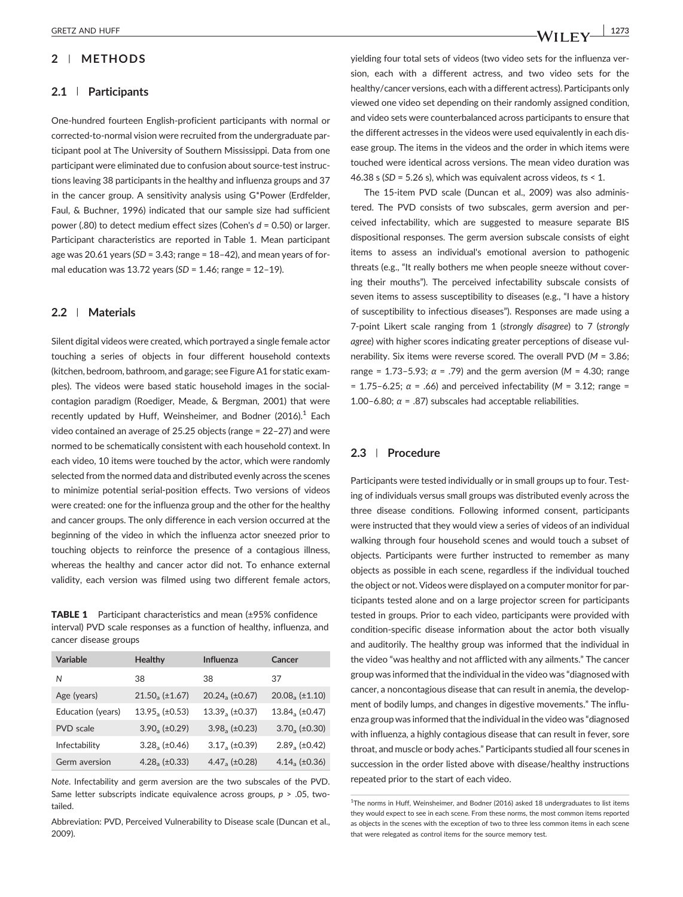## **2** | **METHODS**

#### **2.1** | **Participants**

One‐hundred fourteen English‐proficient participants with normal or corrected-to-normal vision were recruited from the undergraduate participant pool at The University of Southern Mississippi. Data from one participant were eliminated due to confusion about source‐test instructions leaving 38 participants in the healthy and influenza groups and 37 in the cancer group. A sensitivity analysis using G\*Power (Erdfelder, Faul, & Buchner, 1996) indicated that our sample size had sufficient power (.80) to detect medium effect sizes (Cohen's *d* = 0.50) or larger. Participant characteristics are reported in Table 1. Mean participant age was 20.61 years (*SD* = 3.43; range = 18–42), and mean years of formal education was 13.72 years (*SD* = 1.46; range = 12–19).

#### **2.2** | **Materials**

Silent digital videos were created, which portrayed a single female actor touching a series of objects in four different household contexts (kitchen, bedroom, bathroom, and garage; see Figure A1 for static examples). The videos were based static household images in the socialcontagion paradigm (Roediger, Meade, & Bergman, 2001) that were recently updated by Huff, Weinsheimer, and Bodner  $(2016)^{1}$  Each video contained an average of 25.25 objects (range = 22–27) and were normed to be schematically consistent with each household context. In each video, 10 items were touched by the actor, which were randomly selected from the normed data and distributed evenly across the scenes to minimize potential serial‐position effects. Two versions of videos were created: one for the influenza group and the other for the healthy and cancer groups. The only difference in each version occurred at the beginning of the video in which the influenza actor sneezed prior to touching objects to reinforce the presence of a contagious illness, whereas the healthy and cancer actor did not. To enhance external validity, each version was filmed using two different female actors,

TABLE 1 Participant characteristics and mean (±95% confidence interval) PVD scale responses as a function of healthy, influenza, and cancer disease groups

| Variable          | <b>Healthy</b>              | Influenza              | Cancer                  |
|-------------------|-----------------------------|------------------------|-------------------------|
| Ν                 | 38                          | 38                     | 37                      |
| Age (years)       | $21.50, (\pm 1.67)$         | $20.24a (\pm 0.67)$    | $20.08_a (\pm 1.10)$    |
| Education (years) | $13.95_a (\pm 0.53)$        | $13.39a (\pm 0.37)$    | $13.84_{\circ}$ (±0.47) |
| <b>PVD</b> scale  | $3.90_a (\pm 0.29)$         | $3.98_{\rm a}$ (±0.23) | $3.70_a (\pm 0.30)$     |
| Infectability     | $3.28$ <sub>2</sub> (±0.46) | $3.17a (\pm 0.39)$     | $2.89$ , $(\pm 0.42)$   |
| Germ aversion     | $4.28$ , $(\pm 0.33)$       | $4.472$ (±0.28)        | $4.14 \times (±0.36)$   |

*Note*. Infectability and germ aversion are the two subscales of the PVD. Same letter subscripts indicate equivalence across groups, *p* > .05, two‐ tailed.

Abbreviation: PVD, Perceived Vulnerability to Disease scale (Duncan et al., 2009).

yielding four total sets of videos (two video sets for the influenza version, each with a different actress, and two video sets for the healthy/cancer versions, each with a different actress). Participants only viewed one video set depending on their randomly assigned condition, and video sets were counterbalanced across participants to ensure that the different actresses in the videos were used equivalently in each disease group. The items in the videos and the order in which items were touched were identical across versions. The mean video duration was 46.38 s (*SD* = 5.26 s), which was equivalent across videos, *t*s < 1.

The 15-item PVD scale (Duncan et al., 2009) was also administered. The PVD consists of two subscales, germ aversion and perceived infectability, which are suggested to measure separate BIS dispositional responses. The germ aversion subscale consists of eight items to assess an individual's emotional aversion to pathogenic threats (e.g., "It really bothers me when people sneeze without covering their mouths"). The perceived infectability subscale consists of seven items to assess susceptibility to diseases (e.g., "I have a history of susceptibility to infectious diseases"). Responses are made using a 7‐point Likert scale ranging from 1 (*strongly disagree*) to 7 (*strongly agree*) with higher scores indicating greater perceptions of disease vulnerability. Six items were reverse scored. The overall PVD (*M* = 3.86; range = 1.73–5.93; *α* = .79) and the germ aversion (*M* = 4.30; range = 1.75–6.25; *α* = .66) and perceived infectability (*M* = 3.12; range = 1.00–6.80;  $\alpha$  = .87) subscales had acceptable reliabilities.

## **2.3** | **Procedure**

Participants were tested individually or in small groups up to four. Testing of individuals versus small groups was distributed evenly across the three disease conditions. Following informed consent, participants were instructed that they would view a series of videos of an individual walking through four household scenes and would touch a subset of objects. Participants were further instructed to remember as many objects as possible in each scene, regardless if the individual touched the object or not. Videos were displayed on a computer monitor for participants tested alone and on a large projector screen for participants tested in groups. Prior to each video, participants were provided with condition‐specific disease information about the actor both visually and auditorily. The healthy group was informed that the individual in the video "was healthy and not afflicted with any ailments." The cancer group was informed that the individual in the video was "diagnosed with cancer, a noncontagious disease that can result in anemia, the development of bodily lumps, and changes in digestive movements." The influenza group was informed that the individual in the video was "diagnosed with influenza, a highly contagious disease that can result in fever, sore throat, and muscle or body aches." Participants studied all four scenes in succession in the order listed above with disease/healthy instructions repeated prior to the start of each video.

<sup>&</sup>lt;sup>1</sup>The norms in Huff, Weinsheimer, and Bodner (2016) asked 18 undergraduates to list items they would expect to see in each scene. From these norms, the most common items reported as objects in the scenes with the exception of two to three less common items in each scene that were relegated as control items for the source memory test.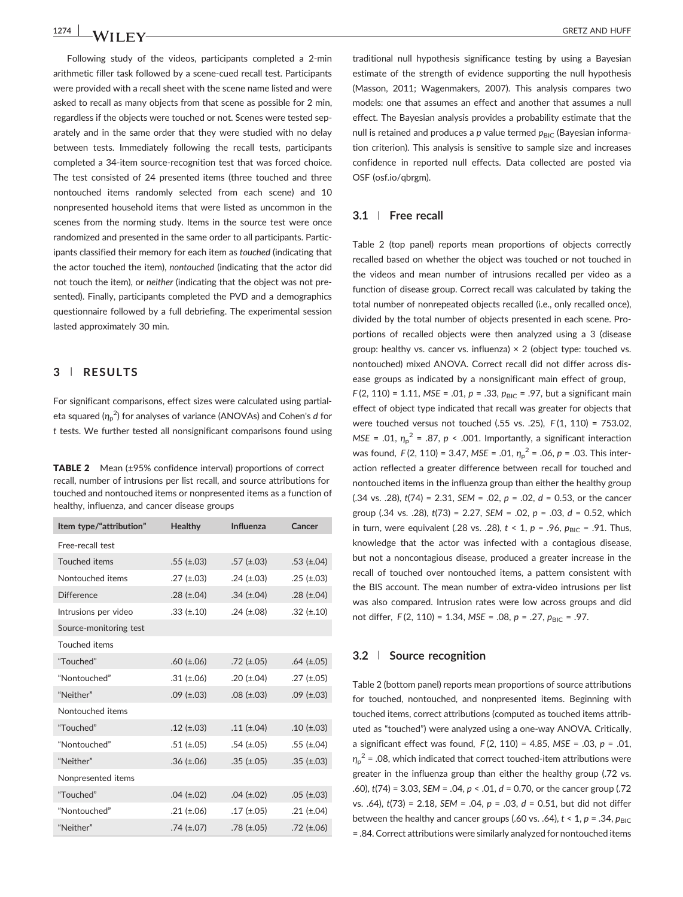Following study of the videos, participants completed a 2‐min arithmetic filler task followed by a scene‐cued recall test. Participants were provided with a recall sheet with the scene name listed and were asked to recall as many objects from that scene as possible for 2 min, regardless if the objects were touched or not. Scenes were tested separately and in the same order that they were studied with no delay between tests. Immediately following the recall tests, participants completed a 34‐item source‐recognition test that was forced choice. The test consisted of 24 presented items (three touched and three nontouched items randomly selected from each scene) and 10 nonpresented household items that were listed as uncommon in the scenes from the norming study. Items in the source test were once randomized and presented in the same order to all participants. Participants classified their memory for each item as *touched* (indicating that the actor touched the item), *nontouched* (indicating that the actor did not touch the item), or *neither* (indicating that the object was not presented). Finally, participants completed the PVD and a demographics questionnaire followed by a full debriefing. The experimental session lasted approximately 30 min.

## **3** | **RESULTS**

For significant comparisons, effect sizes were calculated using partial‐ eta squared ( $η<sub>p</sub><sup>2</sup>$ ) for analyses of variance (ANOVAs) and Cohen's *d* for *t* tests. We further tested all nonsignificant comparisons found using

**TABLE 2** Mean (±95% confidence interval) proportions of correct recall, number of intrusions per list recall, and source attributions for touched and nontouched items or nonpresented items as a function of healthy, influenza, and cancer disease groups

| Item type/"attribution" | <b>Healthy</b>    | Influenza         | Cancer            |
|-------------------------|-------------------|-------------------|-------------------|
| Free-recall test        |                   |                   |                   |
| Touched items           | $.55$ (±.03)      | $.57$ (±.03)      | .53 $(\pm .04)$   |
| Nontouched items        | $.27 \ (\pm .03)$ | .24 $(\pm .03)$   | .25 $(\pm .03)$   |
| Difference              | .28 $(\pm .04)$   | .34 $(\pm .04)$   | .28 $(\pm .04)$   |
| Intrusions per video    | $.33 \ (\pm .10)$ | .24 $(\pm .08)$   | .32 $(\pm .10)$   |
| Source-monitoring test  |                   |                   |                   |
| Touched items           |                   |                   |                   |
| "Touched"               | .60 $(\pm .06)$   | $.72$ (±.05)      | .64 $(\pm .05)$   |
| "Nontouched"            | .31 $(\pm .06)$   | .20 $(\pm .04)$   | $.27$ (±.05)      |
| "Neither"               | $.09$ (±.03)      | $.08$ (±.03)      | $.09$ (±.03)      |
| Nontouched items        |                   |                   |                   |
| "Touched"               | $.12 \ (\pm .03)$ | .11 $(\pm .04)$   | .10 $(\pm .03)$   |
| "Nontouched"            | .51 $(\pm .05)$   | .54 $(\pm .05)$   | $.55$ (±.04)      |
| "Neither"               | .36 $(\pm .06)$   | $.35 \ (\pm .05)$ | $.35 \ (\pm .03)$ |
| Nonpresented items      |                   |                   |                   |
| "Touched"               | $.04$ (±.02)      | .04 $(\pm .02)$   | .05 $(\pm .03)$   |
| "Nontouched"            | .21 $(\pm .06)$   | $.17 \ (\pm .05)$ | .21 $(\pm .04)$   |
| "Neither"               | $.74$ (±.07)      | .78 $(\pm .05)$   | .72 $(\pm .06)$   |

traditional null hypothesis significance testing by using a Bayesian estimate of the strength of evidence supporting the null hypothesis (Masson, 2011; Wagenmakers, 2007). This analysis compares two models: one that assumes an effect and another that assumes a null effect. The Bayesian analysis provides a probability estimate that the null is retained and produces a *p* value termed  $p_{\text{BIC}}$  (Bayesian information criterion). This analysis is sensitive to sample size and increases confidence in reported null effects. Data collected are posted via OSF (osf.io/qbrgm).

#### **3.1** | **Free recall**

Table 2 (top panel) reports mean proportions of objects correctly recalled based on whether the object was touched or not touched in the videos and mean number of intrusions recalled per video as a function of disease group. Correct recall was calculated by taking the total number of nonrepeated objects recalled (i.e., only recalled once), divided by the total number of objects presented in each scene. Proportions of recalled objects were then analyzed using a 3 (disease group: healthy vs. cancer vs. influenza)  $\times$  2 (object type: touched vs. nontouched) mixed ANOVA. Correct recall did not differ across disease groups as indicated by a nonsignificant main effect of group,  $F(2, 110) = 1.11$ , *MSE* = .01,  $p = .33$ ,  $p_{BIC} = .97$ , but a significant main effect of object type indicated that recall was greater for objects that were touched versus not touched (.55 vs. .25), *F* (1, 110) = 753.02, *MSE* = .01,  $\eta_p^2$  = .87, *p* < .001. Importantly, a significant interaction was found, *F*(2, 110) = 3.47, *MSE* = .01,  $η<sub>p</sub><sup>2</sup>$  = .06, *p* = .03. This interaction reflected a greater difference between recall for touched and nontouched items in the influenza group than either the healthy group (.34 vs. .28), *t*(74) = 2.31, *SEM* = .02, *p* = .02, *d* = 0.53, or the cancer group (.34 vs. .28), *t*(73) = 2.27, *SEM* = .02, *p* = .03, *d* = 0.52, which in turn, were equivalent (.28 vs. .28),  $t < 1$ ,  $p = .96$ ,  $p_{BIC} = .91$ . Thus, knowledge that the actor was infected with a contagious disease, but not a noncontagious disease, produced a greater increase in the recall of touched over nontouched items, a pattern consistent with the BIS account. The mean number of extra‐video intrusions per list was also compared. Intrusion rates were low across groups and did not differ, *F* (2, 110) = 1.34, *MSE* = .08, *p* = .27, *p*<sub>BIC</sub> = .97.

## **3.2** | **Source recognition**

Table 2 (bottom panel) reports mean proportions of source attributions for touched, nontouched, and nonpresented items. Beginning with touched items, correct attributions (computed as touched items attributed as "touched") were analyzed using a one‐way ANOVA. Critically, a significant effect was found, *F* (2, 110) = 4.85, *MSE* = .03, *p* = .01, *η*p <sup>2</sup> = .08, which indicated that correct touched‐item attributions were greater in the influenza group than either the healthy group (.72 vs. .60), *t*(74) = 3.03, *SEM* = .04, *p* < .01, *d* = 0.70, or the cancer group (.72 vs. .64), *t*(73) = 2.18, *SEM* = .04, *p* = .03, *d* = 0.51, but did not differ between the healthy and cancer groups (.60 vs. .64),  $t < 1$ ,  $p = .34$ ,  $p_{\text{BIC}}$ = .84. Correct attributions were similarly analyzed for nontouched items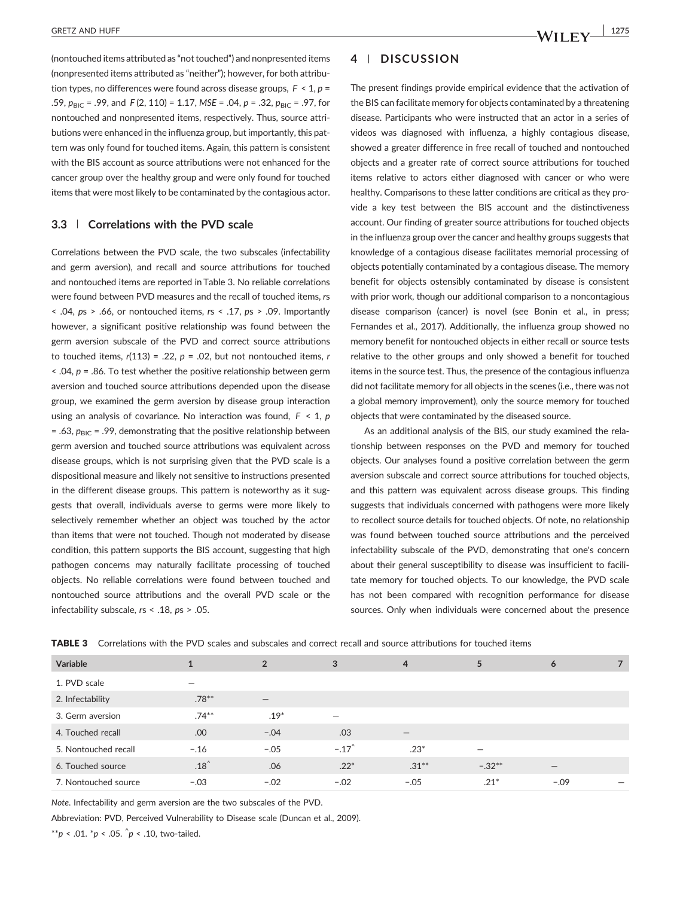(nontouched items attributed as "not touched") and nonpresented items (nonpresented items attributed as "neither"); however, for both attribution types, no differences were found across disease groups, *F* < 1, *p* = .59,  $p_{\text{BIC}} = .99$ , and  $F(2, 110) = 1.17$ ,  $MSE = .04$ ,  $p = .32$ ,  $p_{\text{BIC}} = .97$ , for nontouched and nonpresented items, respectively. Thus, source attributions were enhanced in the influenza group, but importantly, this pattern was only found for touched items. Again, this pattern is consistent with the BIS account as source attributions were not enhanced for the cancer group over the healthy group and were only found for touched items that were most likely to be contaminated by the contagious actor.

## **3.3** | **Correlations with the PVD scale**

Correlations between the PVD scale, the two subscales (infectability and germ aversion), and recall and source attributions for touched and nontouched items are reported in Table 3. No reliable correlations were found between PVD measures and the recall of touched items, *r*s < .04, *p*s > .66, or nontouched items, *r*s < .17, *p*s > .09. Importantly however, a significant positive relationship was found between the germ aversion subscale of the PVD and correct source attributions to touched items, *r*(113) = .22, *p* = .02, but not nontouched items, *r* < .04, *p* = .86. To test whether the positive relationship between germ aversion and touched source attributions depended upon the disease group, we examined the germ aversion by disease group interaction using an analysis of covariance. No interaction was found, *F* < 1, *p*  $=$  .63,  $p_{BIC}$  = .99, demonstrating that the positive relationship between germ aversion and touched source attributions was equivalent across disease groups, which is not surprising given that the PVD scale is a dispositional measure and likely not sensitive to instructions presented in the different disease groups. This pattern is noteworthy as it suggests that overall, individuals averse to germs were more likely to selectively remember whether an object was touched by the actor than items that were not touched. Though not moderated by disease condition, this pattern supports the BIS account, suggesting that high pathogen concerns may naturally facilitate processing of touched objects. No reliable correlations were found between touched and nontouched source attributions and the overall PVD scale or the infectability subscale, *r*s < .18, *p*s > .05.

## **4** | **DISCUSSION**

The present findings provide empirical evidence that the activation of the BIS can facilitate memory for objects contaminated by a threatening disease. Participants who were instructed that an actor in a series of videos was diagnosed with influenza, a highly contagious disease, showed a greater difference in free recall of touched and nontouched objects and a greater rate of correct source attributions for touched items relative to actors either diagnosed with cancer or who were healthy. Comparisons to these latter conditions are critical as they provide a key test between the BIS account and the distinctiveness account. Our finding of greater source attributions for touched objects in the influenza group over the cancer and healthy groups suggests that knowledge of a contagious disease facilitates memorial processing of objects potentially contaminated by a contagious disease. The memory benefit for objects ostensibly contaminated by disease is consistent with prior work, though our additional comparison to a noncontagious disease comparison (cancer) is novel (see Bonin et al., in press; Fernandes et al., 2017). Additionally, the influenza group showed no memory benefit for nontouched objects in either recall or source tests relative to the other groups and only showed a benefit for touched items in the source test. Thus, the presence of the contagious influenza did not facilitate memory for all objects in the scenes (i.e., there was not a global memory improvement), only the source memory for touched objects that were contaminated by the diseased source.

As an additional analysis of the BIS, our study examined the relationship between responses on the PVD and memory for touched objects. Our analyses found a positive correlation between the germ aversion subscale and correct source attributions for touched objects, and this pattern was equivalent across disease groups. This finding suggests that individuals concerned with pathogens were more likely to recollect source details for touched objects. Of note, no relationship was found between touched source attributions and the perceived infectability subscale of the PVD, demonstrating that one's concern about their general susceptibility to disease was insufficient to facilitate memory for touched objects. To our knowledge, the PVD scale has not been compared with recognition performance for disease sources. Only when individuals were concerned about the presence

TABLE 3 Correlations with the PVD scales and subscales and correct recall and source attributions for touched items

| 1. PVD scale         |          |                                |                          |                                 |          |                   |  |
|----------------------|----------|--------------------------------|--------------------------|---------------------------------|----------|-------------------|--|
| 2. Infectability     | $.78***$ | $\qquad \qquad \longleftarrow$ |                          |                                 |          |                   |  |
| 3. Germ aversion     | $.74***$ | $.19*$                         | $\overline{\phantom{0}}$ |                                 |          |                   |  |
| 4. Touched recall    | .00      | $-.04$                         | .03                      | $\hspace{0.1mm}-\hspace{0.1mm}$ |          |                   |  |
| 5. Nontouched recall | $-.16$   | $-.05$                         | $-.17^$                  | $.23*$                          |          |                   |  |
| 6. Touched source    | $.18^$   | .06                            | $.22*$                   | $.31***$                        | $-.32**$ | $\qquad \qquad -$ |  |
| 7. Nontouched source | $-.03$   | $-.02$                         | $-.02$                   | $-.05$                          | $.21*$   | $-.09$            |  |

*Note*. Infectability and germ aversion are the two subscales of the PVD.

Abbreviation: PVD, Perceived Vulnerability to Disease scale (Duncan et al., 2009).

\*\**p* < .01. \**p* < .05. ^*p* < .10, two-tailed.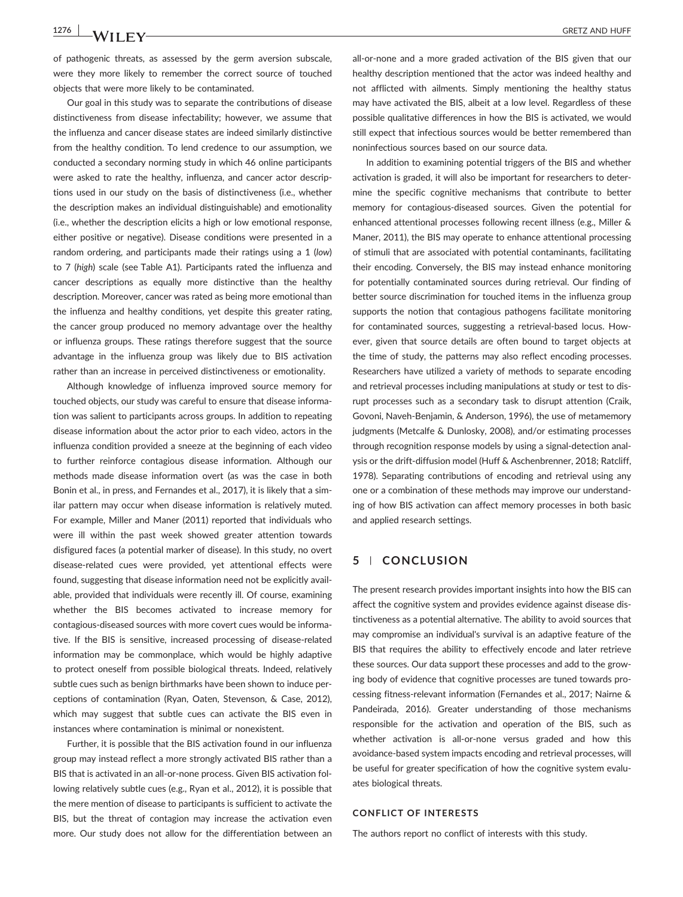of pathogenic threats, as assessed by the germ aversion subscale, were they more likely to remember the correct source of touched objects that were more likely to be contaminated.

Our goal in this study was to separate the contributions of disease distinctiveness from disease infectability; however, we assume that the influenza and cancer disease states are indeed similarly distinctive from the healthy condition. To lend credence to our assumption, we conducted a secondary norming study in which 46 online participants were asked to rate the healthy, influenza, and cancer actor descriptions used in our study on the basis of distinctiveness (i.e., whether the description makes an individual distinguishable) and emotionality (i.e., whether the description elicits a high or low emotional response, either positive or negative). Disease conditions were presented in a random ordering, and participants made their ratings using a 1 (*low*) to 7 (*high*) scale (see Table A1). Participants rated the influenza and cancer descriptions as equally more distinctive than the healthy description. Moreover, cancer was rated as being more emotional than the influenza and healthy conditions, yet despite this greater rating, the cancer group produced no memory advantage over the healthy or influenza groups. These ratings therefore suggest that the source advantage in the influenza group was likely due to BIS activation rather than an increase in perceived distinctiveness or emotionality.

Although knowledge of influenza improved source memory for touched objects, our study was careful to ensure that disease information was salient to participants across groups. In addition to repeating disease information about the actor prior to each video, actors in the influenza condition provided a sneeze at the beginning of each video to further reinforce contagious disease information. Although our methods made disease information overt (as was the case in both Bonin et al., in press, and Fernandes et al., 2017), it is likely that a similar pattern may occur when disease information is relatively muted. For example, Miller and Maner (2011) reported that individuals who were ill within the past week showed greater attention towards disfigured faces (a potential marker of disease). In this study, no overt disease‐related cues were provided, yet attentional effects were found, suggesting that disease information need not be explicitly available, provided that individuals were recently ill. Of course, examining whether the BIS becomes activated to increase memory for contagious‐diseased sources with more covert cues would be informative. If the BIS is sensitive, increased processing of disease-related information may be commonplace, which would be highly adaptive to protect oneself from possible biological threats. Indeed, relatively subtle cues such as benign birthmarks have been shown to induce perceptions of contamination (Ryan, Oaten, Stevenson, & Case, 2012), which may suggest that subtle cues can activate the BIS even in instances where contamination is minimal or nonexistent.

Further, it is possible that the BIS activation found in our influenza group may instead reflect a more strongly activated BIS rather than a BIS that is activated in an all‐or‐none process. Given BIS activation following relatively subtle cues (e.g., Ryan et al., 2012), it is possible that the mere mention of disease to participants is sufficient to activate the BIS, but the threat of contagion may increase the activation even more. Our study does not allow for the differentiation between an

all‐or‐none and a more graded activation of the BIS given that our healthy description mentioned that the actor was indeed healthy and not afflicted with ailments. Simply mentioning the healthy status may have activated the BIS, albeit at a low level. Regardless of these possible qualitative differences in how the BIS is activated, we would still expect that infectious sources would be better remembered than noninfectious sources based on our source data.

In addition to examining potential triggers of the BIS and whether activation is graded, it will also be important for researchers to determine the specific cognitive mechanisms that contribute to better memory for contagious‐diseased sources. Given the potential for enhanced attentional processes following recent illness (e.g., Miller & Maner, 2011), the BIS may operate to enhance attentional processing of stimuli that are associated with potential contaminants, facilitating their encoding. Conversely, the BIS may instead enhance monitoring for potentially contaminated sources during retrieval. Our finding of better source discrimination for touched items in the influenza group supports the notion that contagious pathogens facilitate monitoring for contaminated sources, suggesting a retrieval‐based locus. However, given that source details are often bound to target objects at the time of study, the patterns may also reflect encoding processes. Researchers have utilized a variety of methods to separate encoding and retrieval processes including manipulations at study or test to disrupt processes such as a secondary task to disrupt attention (Craik, Govoni, Naveh‐Benjamin, & Anderson, 1996), the use of metamemory judgments (Metcalfe & Dunlosky, 2008), and/or estimating processes through recognition response models by using a signal‐detection analysis or the drift-diffusion model (Huff & Aschenbrenner, 2018; Ratcliff, 1978). Separating contributions of encoding and retrieval using any one or a combination of these methods may improve our understanding of how BIS activation can affect memory processes in both basic and applied research settings.

## **5** | **CONCLUSION**

The present research provides important insights into how the BIS can affect the cognitive system and provides evidence against disease distinctiveness as a potential alternative. The ability to avoid sources that may compromise an individual's survival is an adaptive feature of the BIS that requires the ability to effectively encode and later retrieve these sources. Our data support these processes and add to the growing body of evidence that cognitive processes are tuned towards processing fitness‐relevant information (Fernandes et al., 2017; Nairne & Pandeirada, 2016). Greater understanding of those mechanisms responsible for the activation and operation of the BIS, such as whether activation is all-or-none versus graded and how this avoidance‐based system impacts encoding and retrieval processes, will be useful for greater specification of how the cognitive system evaluates biological threats.

#### **CONFLICT OF INTERESTS**

The authors report no conflict of interests with this study.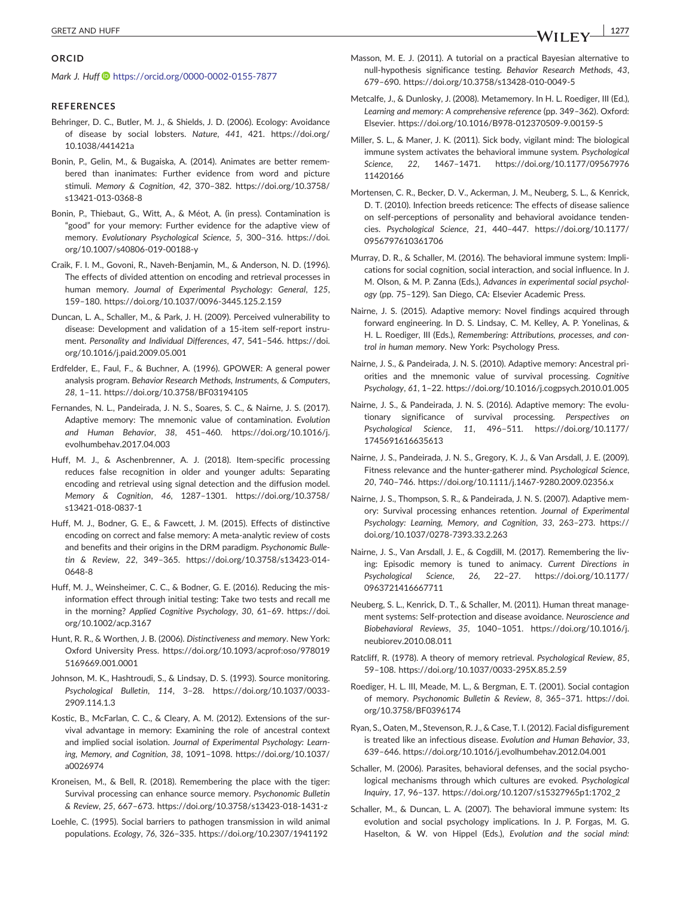## **ORCID**

*Mark J. Huff*  $\bullet$  <https://orcid.org/0000-0002-0155-7877>

#### **REFERENCES**

- Behringer, D. C., Butler, M. J., & Shields, J. D. (2006). Ecology: Avoidance of disease by social lobsters. *Nature*, *441*, 421. [https://doi.org/](https://doi.org/10.1038/441421a) [10.1038/441421a](https://doi.org/10.1038/441421a)
- Bonin, P., Gelin, M., & Bugaiska, A. (2014). Animates are better remembered than inanimates: Further evidence from word and picture stimuli. *Memory & Cognition*, *42*, 370–382. [https://doi.org/10.3758/](https://doi.org/10.3758/s13421-013-0368-8) [s13421](https://doi.org/10.3758/s13421-013-0368-8)‐013‐0368‐8
- Bonin, P., Thiebaut, G., Witt, A., & Méot, A. (in press). Contamination is "good" for your memory: Further evidence for the adaptive view of memory. *Evolutionary Psychological Science*, *5*, 300–316. [https://doi.](https://doi.org/10.1007/s40806-019-00188-y) [org/10.1007/s40806](https://doi.org/10.1007/s40806-019-00188-y)‐019‐00188‐y
- Craik, F. I. M., Govoni, R., Naveh‐Benjamin, M., & Anderson, N. D. (1996). The effects of divided attention on encoding and retrieval processes in human memory. *Journal of Experimental Psychology: General*, *125*, 159–180. [https://doi.org/10.1037/0096](https://doi.org/10.1037/0096-3445.125.2.159)‐3445.125.2.159
- Duncan, L. A., Schaller, M., & Park, J. H. (2009). Perceived vulnerability to disease: Development and validation of a 15‐item self‐report instrument. *Personality and Individual Differences*, *47*, 541–546. [https://doi.](https://doi.org/10.1016/j.paid.2009.05.001) [org/10.1016/j.paid.2009.05.001](https://doi.org/10.1016/j.paid.2009.05.001)
- Erdfelder, E., Faul, F., & Buchner, A. (1996). GPOWER: A general power analysis program. *Behavior Research Methods, Instruments, & Computers*, *28*, 1–11.<https://doi.org/10.3758/BF03194105>
- Fernandes, N. L., Pandeirada, J. N. S., Soares, S. C., & Nairne, J. S. (2017). Adaptive memory: The mnemonic value of contamination. *Evolution and Human Behavior*, *38*, 451–460. [https://doi.org/10.1016/j.](https://doi.org/10.1016/j.evolhumbehav.2017.04.003) [evolhumbehav.2017.04.003](https://doi.org/10.1016/j.evolhumbehav.2017.04.003)
- Huff, M. J., & Aschenbrenner, A. J. (2018). Item‐specific processing reduces false recognition in older and younger adults: Separating encoding and retrieval using signal detection and the diffusion model. *Memory & Cognition*, *46*, 1287–1301. [https://doi.org/10.3758/](https://doi.org/10.3758/s13421-018-0837-1) [s13421](https://doi.org/10.3758/s13421-018-0837-1)‐018‐0837‐1
- Huff, M. J., Bodner, G. E., & Fawcett, J. M. (2015). Effects of distinctive encoding on correct and false memory: A meta-analytic review of costs and benefits and their origins in the DRM paradigm. *Psychonomic Bulletin & Review*, *22*, 349–365. [https://doi.org/10.3758/s13423](https://doi.org/10.3758/s13423-014-0648-8)‐014‐ [0648](https://doi.org/10.3758/s13423-014-0648-8)‐8
- Huff, M. J., Weinsheimer, C. C., & Bodner, G. E. (2016). Reducing the misinformation effect through initial testing: Take two tests and recall me in the morning? *Applied Cognitive Psychology*, *30*, 61–69. [https://doi.](https://doi.org/10.1002/acp.3167) [org/10.1002/acp.3167](https://doi.org/10.1002/acp.3167)
- Hunt, R. R., & Worthen, J. B. (2006). *Distinctiveness and memory*. New York: Oxford University Press. [https://doi.org/10.1093/acprof:oso/978019](https://doi.org/10.1093/acprof:oso/9780195169669.001.0001) [5169669.001.0001](https://doi.org/10.1093/acprof:oso/9780195169669.001.0001)
- Johnson, M. K., Hashtroudi, S., & Lindsay, D. S. (1993). Source monitoring. *Psychological Bulletin*, *114*, 3–28. [https://doi.org/10.1037/0033](https://doi.org/10.1037/0033-2909.114.1.3)‐ [2909.114.1.3](https://doi.org/10.1037/0033-2909.114.1.3)
- Kostic, B., McFarlan, C. C., & Cleary, A. M. (2012). Extensions of the survival advantage in memory: Examining the role of ancestral context and implied social isolation. *Journal of Experimental Psychology: Learning, Memory, and Cognition*, *38*, 1091–1098. [https://doi.org/10.1037/](https://doi.org/10.1037/a0026974) [a0026974](https://doi.org/10.1037/a0026974)
- Kroneisen, M., & Bell, R. (2018). Remembering the place with the tiger: Survival processing can enhance source memory. *Psychonomic Bulletin & Review*, *25*, 667–673. [https://doi.org/10.3758/s13423](https://doi.org/10.3758/s13423-018-1431-z)‐018‐1431‐z
- Loehle, C. (1995). Social barriers to pathogen transmission in wild animal populations. *Ecology*, *76*, 326–335.<https://doi.org/10.2307/1941192>
- Masson, M. E. J. (2011). A tutorial on a practical Bayesian alternative to null‐hypothesis significance testing. *Behavior Research Methods*, *43*, 679–690. [https://doi.org/10.3758/s13428](https://doi.org/10.3758/s13428-010-0049-5)‐010‐0049‐5
- Metcalfe, J., & Dunlosky, J. (2008). Metamemory. In H. L. Roediger, III (Ed.), *Learning and memory: A comprehensive reference* (pp. 349–362). Oxford: Elsevier. [https://doi.org/10.1016/B978](https://doi.org/10.1016/B978-012370509-9.00159-5)‐012370509‐9.00159‐5
- Miller, S. L., & Maner, J. K. (2011). Sick body, vigilant mind: The biological immune system activates the behavioral immune system. *Psychological Science*, *22*, 1467–1471. [https://doi.org/10.1177/09567976](https://doi.org/10.1177/0956797611420166) [11420166](https://doi.org/10.1177/0956797611420166)
- Mortensen, C. R., Becker, D. V., Ackerman, J. M., Neuberg, S. L., & Kenrick, D. T. (2010). Infection breeds reticence: The effects of disease salience on self‐perceptions of personality and behavioral avoidance tendencies. *Psychological Science*, *21*, 440–447. [https://doi.org/10.1177/](https://doi.org/10.1177/0956797610361706) [0956797610361706](https://doi.org/10.1177/0956797610361706)
- Murray, D. R., & Schaller, M. (2016). The behavioral immune system: Implications for social cognition, social interaction, and social influence. In J. M. Olson, & M. P. Zanna (Eds.), *Advances in experimental social psychology* (pp. 75–129). San Diego, CA: Elsevier Academic Press.
- Nairne, J. S. (2015). Adaptive memory: Novel findings acquired through forward engineering. In D. S. Lindsay, C. M. Kelley, A. P. Yonelinas, & H. L. Roediger, III (Eds.), *Remembering: Attributions, processes, and control in human memory*. New York: Psychology Press.
- Nairne, J. S., & Pandeirada, J. N. S. (2010). Adaptive memory: Ancestral priorities and the mnemonic value of survival processing. *Cognitive Psychology*, *61*, 1–22.<https://doi.org/10.1016/j.cogpsych.2010.01.005>
- Nairne, J. S., & Pandeirada, J. N. S. (2016). Adaptive memory: The evolutionary significance of survival processing. *Perspectives on Psychological Science*, *11*, 496–511. [https://doi.org/10.1177/](https://doi.org/10.1177/1745691616635613) [1745691616635613](https://doi.org/10.1177/1745691616635613)
- Nairne, J. S., Pandeirada, J. N. S., Gregory, K. J., & Van Arsdall, J. E. (2009). Fitness relevance and the hunter‐gatherer mind. *Psychological Science*, *20*, 740–746. [https://doi.org/10.1111/j.1467](https://doi.org/10.1111/j.1467-9280.2009.02356.x)‐9280.2009.02356.x
- Nairne, J. S., Thompson, S. R., & Pandeirada, J. N. S. (2007). Adaptive memory: Survival processing enhances retention. *Journal of Experimental Psychology: Learning, Memory, and Cognition*, *33*, 263–273. [https://](https://doi.org/10.1037/0278-7393.33.2.263) [doi.org/10.1037/0278](https://doi.org/10.1037/0278-7393.33.2.263)‐7393.33.2.263
- Nairne, J. S., Van Arsdall, J. E., & Cogdill, M. (2017). Remembering the living: Episodic memory is tuned to animacy. *Current Directions in Psychological Science*, *26*, 22–27. [https://doi.org/10.1177/](https://doi.org/10.1177/0963721416667711) [0963721416667711](https://doi.org/10.1177/0963721416667711)
- Neuberg, S. L., Kenrick, D. T., & Schaller, M. (2011). Human threat management systems: Self‐protection and disease avoidance. *Neuroscience and Biobehavioral Reviews*, *35*, 1040–1051. [https://doi.org/10.1016/j.](https://doi.org/10.1016/j.neubiorev.2010.08.011) [neubiorev.2010.08.011](https://doi.org/10.1016/j.neubiorev.2010.08.011)
- Ratcliff, R. (1978). A theory of memory retrieval. *Psychological Review*, *85*, 59–108. [https://doi.org/10.1037/0033](https://doi.org/10.1037/0033-295X.85.2.59)‐295X.85.2.59
- Roediger, H. L. III, Meade, M. L., & Bergman, E. T. (2001). Social contagion of memory. *Psychonomic Bulletin & Review*, *8*, 365–371. [https://doi.](https://doi.org/10.3758/BF0396174) [org/10.3758/BF0396174](https://doi.org/10.3758/BF0396174)
- Ryan, S., Oaten, M., Stevenson, R. J., & Case, T. I. (2012). Facial disfigurement is treated like an infectious disease. *Evolution and Human Behavior*, *33*, 639–646.<https://doi.org/10.1016/j.evolhumbehav.2012.04.001>
- Schaller, M. (2006). Parasites, behavioral defenses, and the social psychological mechanisms through which cultures are evoked. *Psychological Inquiry*, *17*, 96–137. [https://doi.org/10.1207/s15327965p1:1702\\_2](https://doi.org/10.1207/s15327965p1:1702_2)
- Schaller, M., & Duncan, L. A. (2007). The behavioral immune system: Its evolution and social psychology implications. In J. P. Forgas, M. G. Haselton, & W. von Hippel (Eds.), *Evolution and the social mind:*